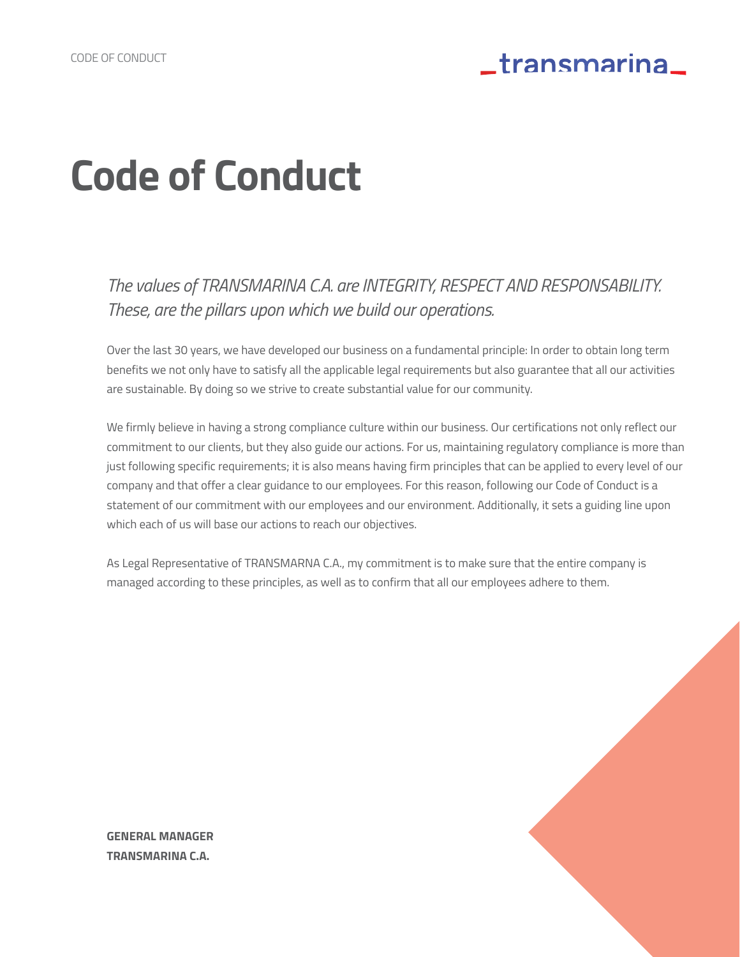# **Code of Conduct**

*The values of TRANSMARINA C.A. are INTEGRITY, RESPECT AND RESPONSABILITY. These, are the pillars upon which we build our operations.*

Over the last 30 years, we have developed our business on a fundamental principle: In order to obtain long term benefits we not only have to satisfy all the applicable legal requirements but also guarantee that all our activities are sustainable. By doing so we strive to create substantial value for our community.

We firmly believe in having a strong compliance culture within our business. Our certifications not only reflect our commitment to our clients, but they also guide our actions. For us, maintaining regulatory compliance is more than just following specific requirements; it is also means having firm principles that can be applied to every level of our company and that offer a clear guidance to our employees. For this reason, following our Code of Conduct is a statement of our commitment with our employees and our environment. Additionally, it sets a guiding line upon which each of us will base our actions to reach our objectives.

As Legal Representative of TRANSMARNA C.A., my commitment is to make sure that the entire company is managed according to these principles, as well as to confirm that all our employees adhere to them.



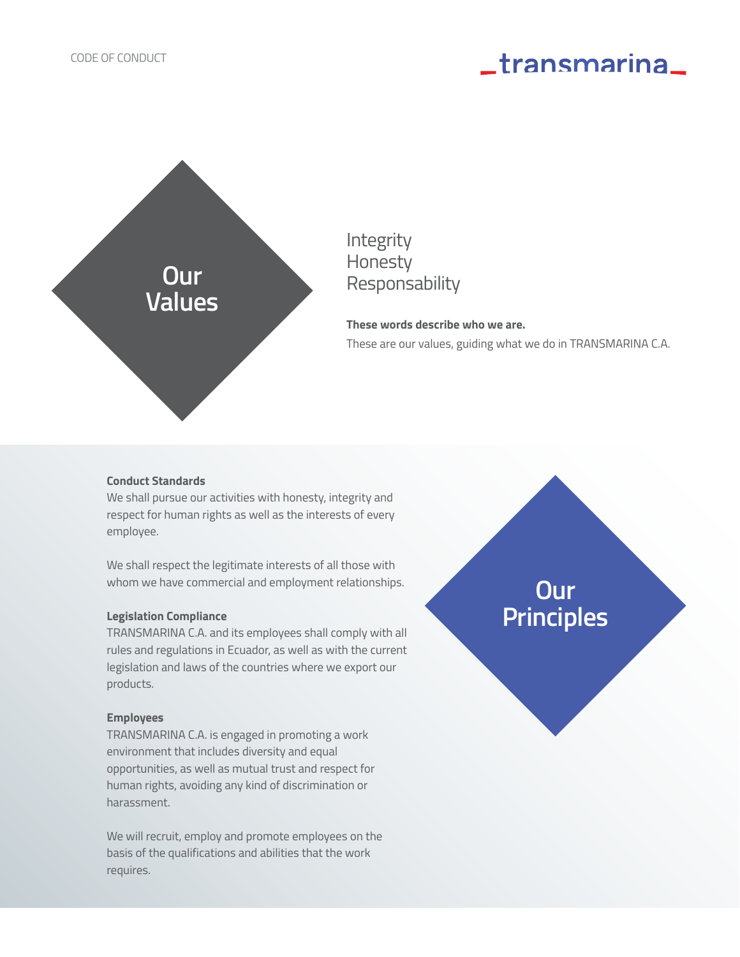

### Integrity Honesty Responsability

**These words describe who we are.**  These are our values, guiding what we do in TRANSMARINA C.A.

#### **Conduct Standards**

We shall pursue our activities with honesty, integrity and respect for human rights as well as the interests of every employee.

We shall respect the legitimate interests of all those with whom we have commercial and employment relationships.

#### **Legislation Compliance**

TRANSMARINA C.A. and its employees shall comply with all rules and regulations in Ecuador, as well as with the current legislation and laws of the countries where we export our products.

#### **Employees**

TRANSMARINA C.A. is engaged in promoting a work environment that includes diversity and equal opportunities, as well as mutual trust and respect for human rights, avoiding any kind of discrimination or harassment.

We will recruit, employ and promote employees on the basis of the qualifications and abilities that the work requires.

**Our Principles**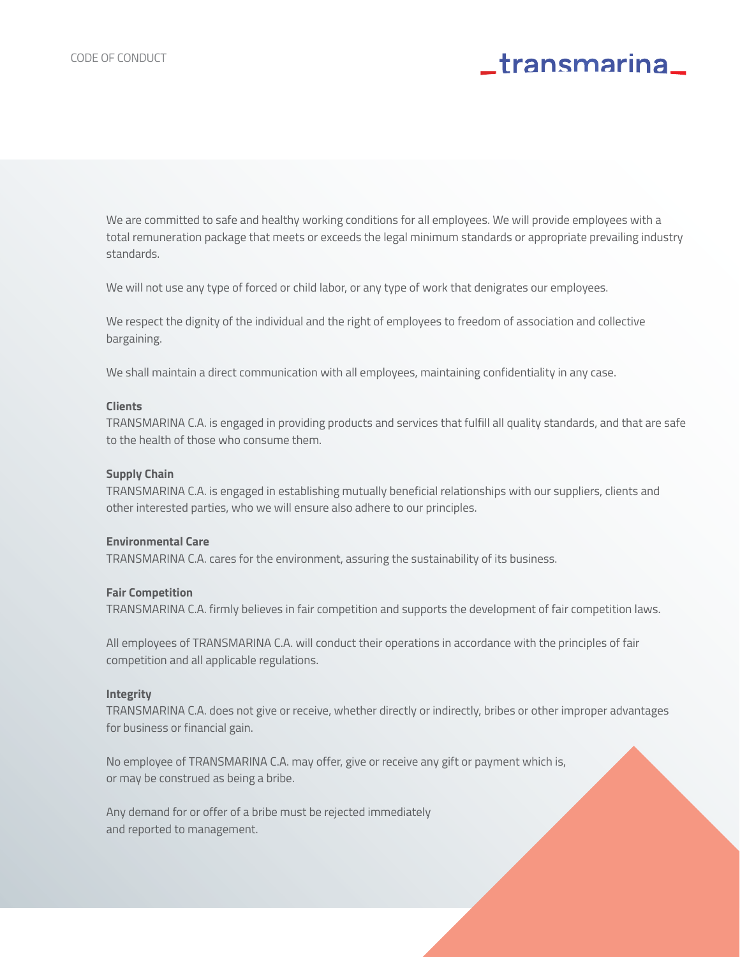We are committed to safe and healthy working conditions for all employees. We will provide employees with a total remuneration package that meets or exceeds the legal minimum standards or appropriate prevailing industry standards.

We will not use any type of forced or child labor, or any type of work that denigrates our employees.

We respect the dignity of the individual and the right of employees to freedom of association and collective bargaining.

We shall maintain a direct communication with all employees, maintaining confidentiality in any case.

#### **Clients**

TRANSMARINA C.A. is engaged in providing products and services that fulfill all quality standards, and that are safe to the health of those who consume them.

#### **Supply Chain**

TRANSMARINA C.A. is engaged in establishing mutually beneficial relationships with our suppliers, clients and other interested parties, who we will ensure also adhere to our principles.

#### **Environmental Care**

TRANSMARINA C.A. cares for the environment, assuring the sustainability of its business.

#### **Fair Competition**

TRANSMARINA C.A. firmly believes in fair competition and supports the development of fair competition laws.

All employees of TRANSMARINA C.A. will conduct their operations in accordance with the principles of fair competition and all applicable regulations.

#### **Integrity**

TRANSMARINA C.A. does not give or receive, whether directly or indirectly, bribes or other improper advantages for business or financial gain.

No employee of TRANSMARINA C.A. may offer, give or receive any gift or payment which is, or may be construed as being a bribe.

Any demand for or offer of a bribe must be rejected immediately and reported to management.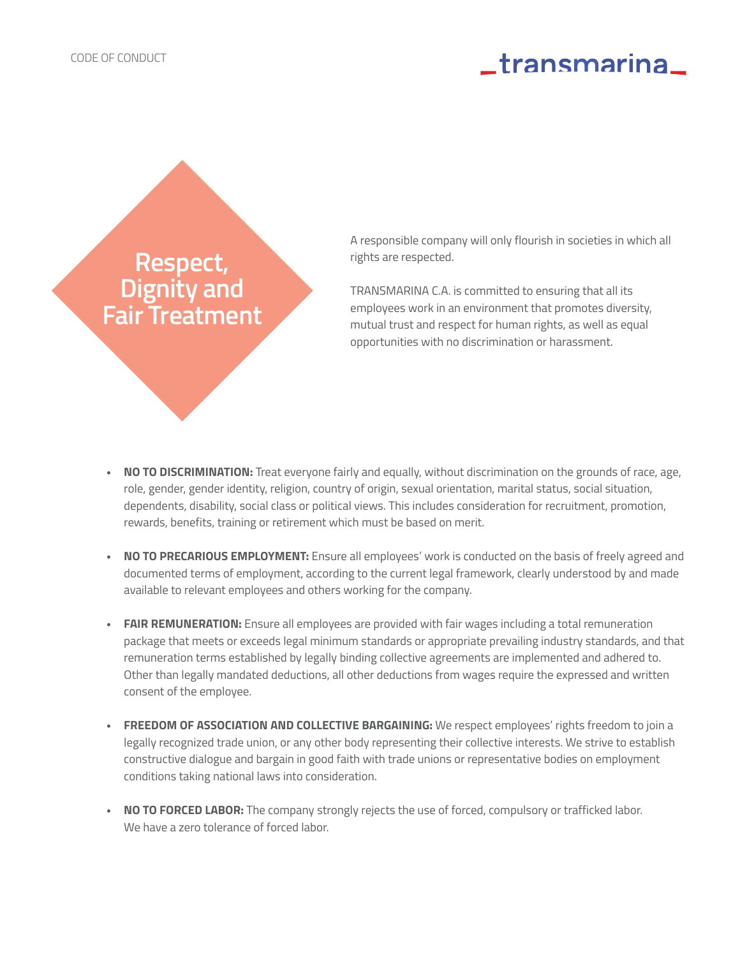### **Respect, Dignity and Fair Treatment**

A responsible company will only flourish in societies in which all rights are respected.

TRANSMARINA C.A. is committed to ensuring that all its employees work in an environment that promotes diversity, mutual trust and respect for human rights, as well as equal opportunities with no discrimination or harassment.

- **• NO TO DISCRIMINATION:** Treat everyone fairly and equally, without discrimination on the grounds of race, age, role, gender, gender identity, religion, country of origin, sexual orientation, marital status, social situation, dependents, disability, social class or political views. This includes consideration for recruitment, promotion, rewards, benefits, training or retirement which must be based on merit.
- **• NO TO PRECARIOUS EMPLOYMENT:** Ensure all employees' work is conducted on the basis of freely agreed and documented terms of employment, according to the current legal framework, clearly understood by and made available to relevant employees and others working for the company.
- **• FAIR REMUNERATION:** Ensure all employees are provided with fair wages including a total remuneration package that meets or exceeds legal minimum standards or appropriate prevailing industry standards, and that remuneration terms established by legally binding collective agreements are implemented and adhered to. Other than legally mandated deductions, all other deductions from wages require the expressed and written consent of the employee.
- **• FREEDOM OF ASSOCIATION AND COLLECTIVE BARGAINING:** We respect employees' rights freedom to join a legally recognized trade union, or any other body representing their collective interests. We strive to establish constructive dialogue and bargain in good faith with trade unions or representative bodies on employment conditions taking national laws into consideration.
- **• NO TO FORCED LABOR:** The company strongly rejects the use of forced, compulsory or trafficked labor. We have a zero tolerance of forced labor.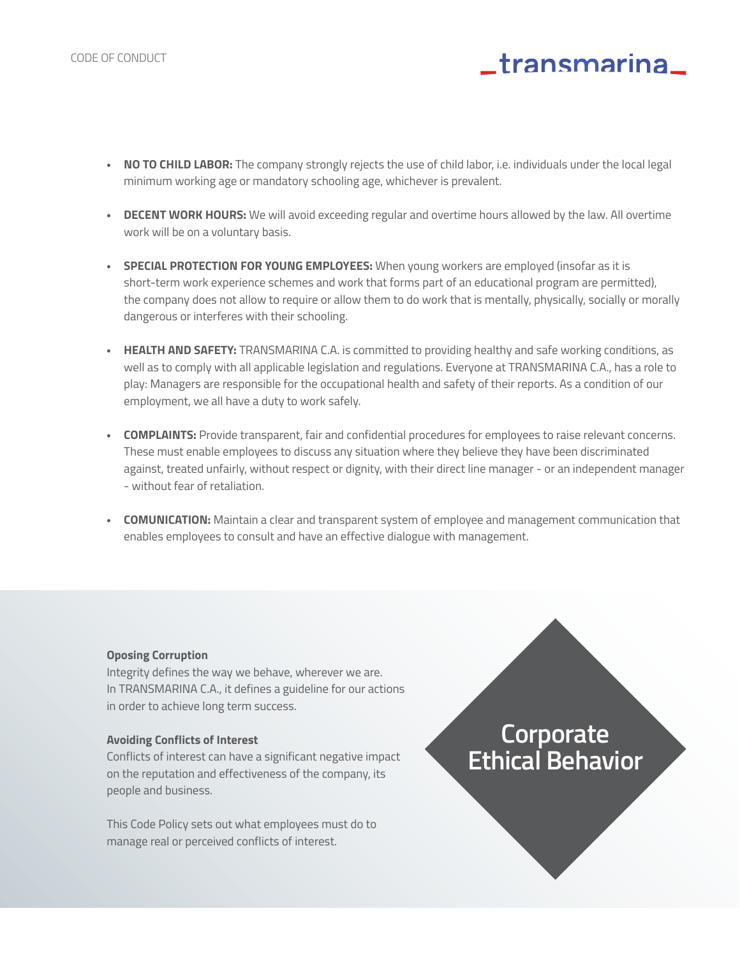- **• NO TO CHILD LABOR:** The company strongly rejects the use of child labor, i.e. individuals under the local legal minimum working age or mandatory schooling age, whichever is prevalent.
- **• DECENT WORK HOURS:** We will avoid exceeding regular and overtime hours allowed by the law. All overtime work will be on a voluntary basis.
- **• SPECIAL PROTECTION FOR YOUNG EMPLOYEES:** When young workers are employed (insofar as it is short-term work experience schemes and work that forms part of an educational program are permitted), the company does not allow to require or allow them to do work that is mentally, physically, socially or morally dangerous or interferes with their schooling.
- **• HEALTH AND SAFETY:** TRANSMARINA C.A. is committed to providing healthy and safe working conditions, as well as to comply with all applicable legislation and regulations. Everyone at TRANSMARINA C.A., has a role to play: Managers are responsible for the occupational health and safety of their reports. As a condition of our employment, we all have a duty to work safely.
- **• COMPLAINTS:** Provide transparent, fair and confidential procedures for employees to raise relevant concerns. These must enable employees to discuss any situation where they believe they have been discriminated against, treated unfairly, without respect or dignity, with their direct line manager - or an independent manager - without fear of retaliation.
- **• COMUNICATION:** Maintain a clear and transparent system of employee and management communication that enables employees to consult and have an effective dialogue with management.

#### **Oposing Corruption**

Integrity defines the way we behave, wherever we are. In TRANSMARINA C.A., it defines a guideline for our actions in order to achieve long term success.

#### **Avoiding Conflicts of Interest**

Conflicts of interest can have a significant negative impact on the reputation and effectiveness of the company, its people and business.

This Code Policy sets out what employees must do to manage real or perceived conflicts of interest.

### **Corporate Ethical Behavior**

**\_transmarina**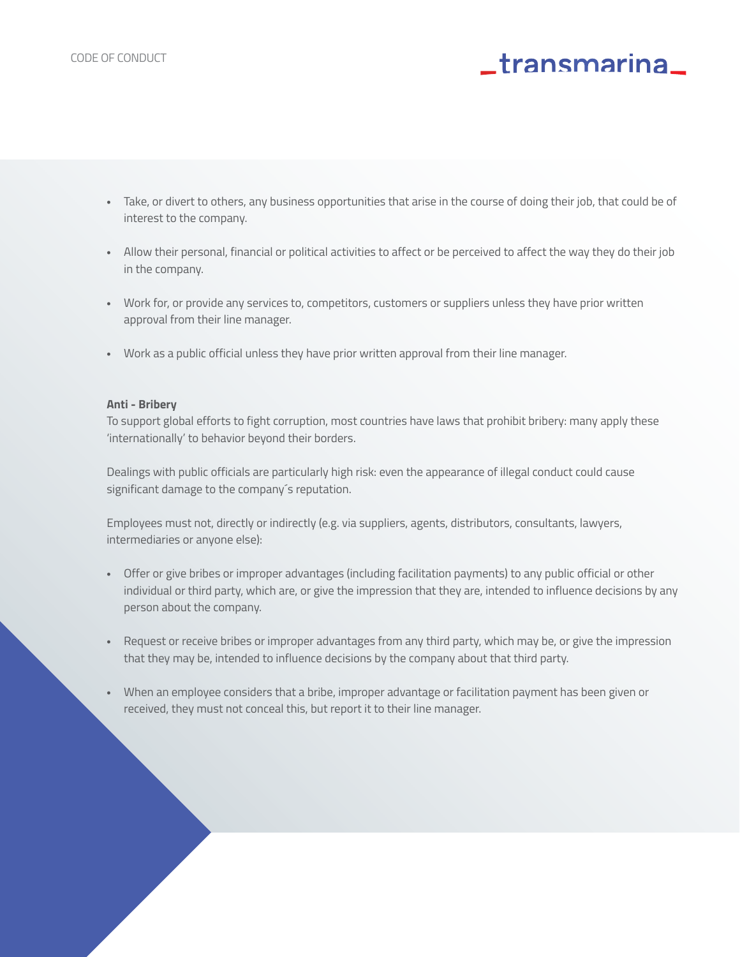- **•** Take, or divert to others, any business opportunities that arise in the course of doing their job, that could be of interest to the company.
- **•** Allow their personal, financial or political activities to affect or be perceived to affect the way they do their job in the company.
- **•** Work for, or provide any services to, competitors, customers or suppliers unless they have prior written approval from their line manager.
- **•** Work as a public official unless they have prior written approval from their line manager.

#### **Anti - Bribery**

To support global efforts to fight corruption, most countries have laws that prohibit bribery: many apply these 'internationally' to behavior beyond their borders.

Dealings with public officials are particularly high risk: even the appearance of illegal conduct could cause significant damage to the company´s reputation.

Employees must not, directly or indirectly (e.g. via suppliers, agents, distributors, consultants, lawyers, intermediaries or anyone else):

- **•** Offer or give bribes or improper advantages (including facilitation payments) to any public official or other individual or third party, which are, or give the impression that they are, intended to influence decisions by any person about the company.
- **•** Request or receive bribes or improper advantages from any third party, which may be, or give the impression that they may be, intended to influence decisions by the company about that third party.
- **•** When an employee considers that a bribe, improper advantage or facilitation payment has been given or received, they must not conceal this, but report it to their line manager.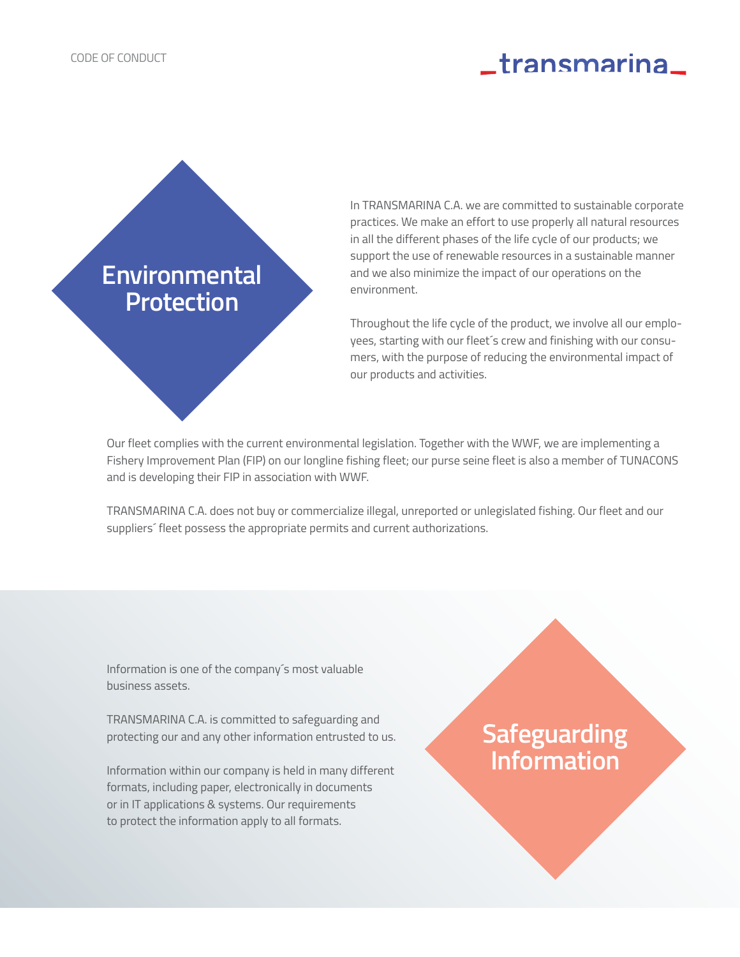### **Environmental Protection**

In TRANSMARINA C.A. we are committed to sustainable corporate practices. We make an effort to use properly all natural resources in all the different phases of the life cycle of our products; we support the use of renewable resources in a sustainable manner and we also minimize the impact of our operations on the environment.

Throughout the life cycle of the product, we involve all our employees, starting with our fleet´s crew and finishing with our consumers, with the purpose of reducing the environmental impact of our products and activities.

Our fleet complies with the current environmental legislation. Together with the WWF, we are implementing a Fishery Improvement Plan (FIP) on our longline fishing fleet; our purse seine fleet is also a member of TUNACONS and is developing their FIP in association with WWF.

TRANSMARINA C.A. does not buy or commercialize illegal, unreported or unlegislated fishing. Our fleet and our suppliers´ fleet possess the appropriate permits and current authorizations.

Information is one of the company´s most valuable business assets.

TRANSMARINA C.A. is committed to safeguarding and protecting our and any other information entrusted to us.

Information within our company is held in many different formats, including paper, electronically in documents or in IT applications & systems. Our requirements to protect the information apply to all formats.

### **Safeguarding Information**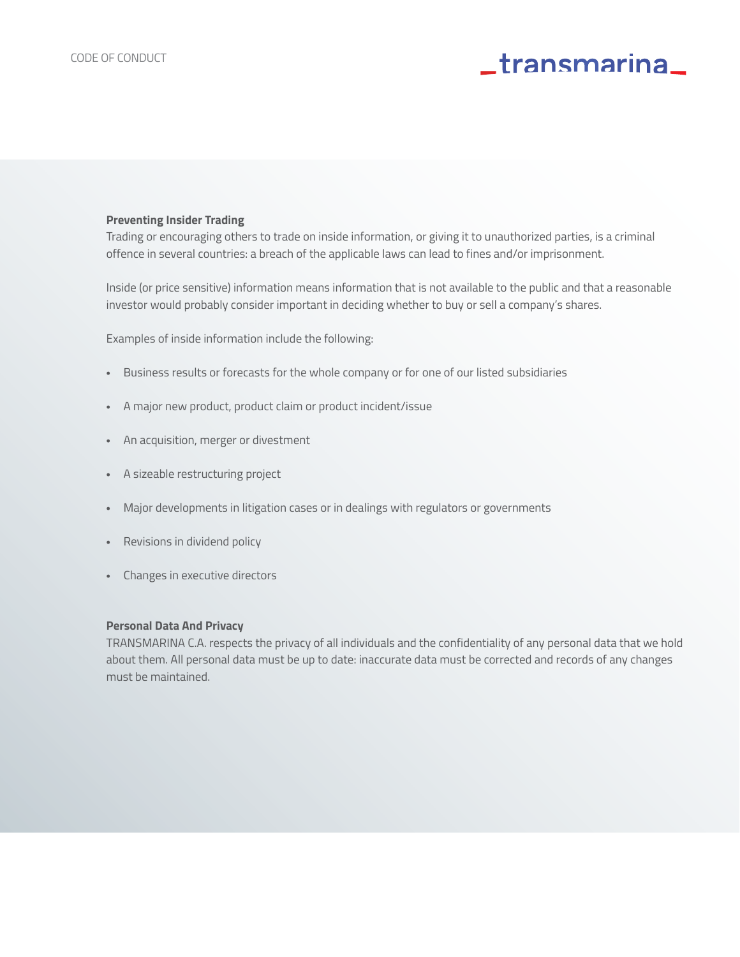#### **Preventing Insider Trading**

Trading or encouraging others to trade on inside information, or giving it to unauthorized parties, is a criminal offence in several countries: a breach of the applicable laws can lead to fines and/or imprisonment.

Inside (or price sensitive) information means information that is not available to the public and that a reasonable investor would probably consider important in deciding whether to buy or sell a company's shares.

Examples of inside information include the following:

- **•** Business results or forecasts for the whole company or for one of our listed subsidiaries
- **•** A major new product, product claim or product incident/issue
- **•** An acquisition, merger or divestment
- **•** A sizeable restructuring project
- **•** Major developments in litigation cases or in dealings with regulators or governments
- **•** Revisions in dividend policy
- **•** Changes in executive directors

#### **Personal Data And Privacy**

TRANSMARINA C.A. respects the privacy of all individuals and the confidentiality of any personal data that we hold about them. All personal data must be up to date: inaccurate data must be corrected and records of any changes must be maintained.